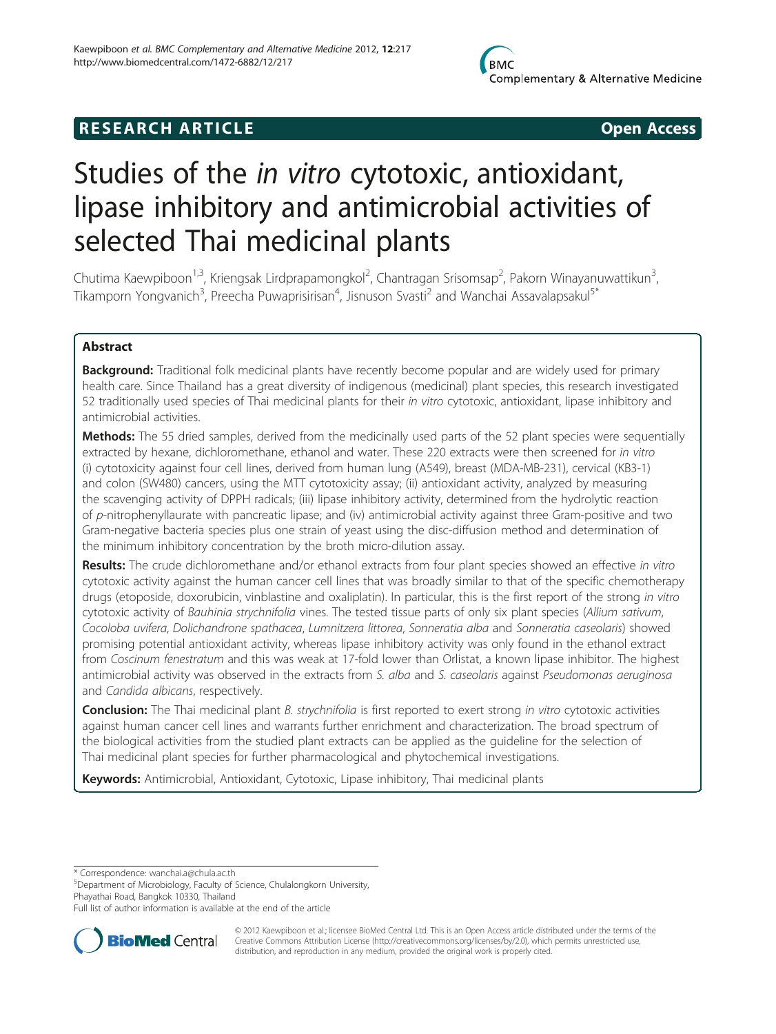# **RESEARCH ARTICLE Example 2018 12:00 Open Access**

# Studies of the in vitro cytotoxic, antioxidant, lipase inhibitory and antimicrobial activities of selected Thai medicinal plants

Chutima Kaewpiboon<sup>1,3</sup>, Kriengsak Lirdprapamongkol<sup>2</sup>, Chantragan Srisomsap<sup>2</sup>, Pakorn Winayanuwattikun<sup>3</sup> , Tikamporn Yongvanich<sup>3</sup>, Preecha Puwaprisirisan<sup>4</sup>, Jisnuson Svasti<sup>2</sup> and Wanchai Assavalapsakul<sup>5\*</sup>

# Abstract

**Background:** Traditional folk medicinal plants have recently become popular and are widely used for primary health care. Since Thailand has a great diversity of indigenous (medicinal) plant species, this research investigated 52 traditionally used species of Thai medicinal plants for their in vitro cytotoxic, antioxidant, lipase inhibitory and antimicrobial activities.

Methods: The 55 dried samples, derived from the medicinally used parts of the 52 plant species were sequentially extracted by hexane, dichloromethane, ethanol and water. These 220 extracts were then screened for in vitro (i) cytotoxicity against four cell lines, derived from human lung (A549), breast (MDA-MB-231), cervical (KB3-1) and colon (SW480) cancers, using the MTT cytotoxicity assay; (ii) antioxidant activity, analyzed by measuring the scavenging activity of DPPH radicals; (iii) lipase inhibitory activity, determined from the hydrolytic reaction of p-nitrophenyllaurate with pancreatic lipase; and (iv) antimicrobial activity against three Gram-positive and two Gram-negative bacteria species plus one strain of yeast using the disc-diffusion method and determination of the minimum inhibitory concentration by the broth micro-dilution assay.

Results: The crude dichloromethane and/or ethanol extracts from four plant species showed an effective in vitro cytotoxic activity against the human cancer cell lines that was broadly similar to that of the specific chemotherapy drugs (etoposide, doxorubicin, vinblastine and oxaliplatin). In particular, this is the first report of the strong in vitro cytotoxic activity of Bauhinia strychnifolia vines. The tested tissue parts of only six plant species (Allium sativum, Cocoloba uvifera, Dolichandrone spathacea, Lumnitzera littorea, Sonneratia alba and Sonneratia caseolaris) showed promising potential antioxidant activity, whereas lipase inhibitory activity was only found in the ethanol extract from Coscinum fenestratum and this was weak at 17-fold lower than Orlistat, a known lipase inhibitor. The highest antimicrobial activity was observed in the extracts from S. alba and S. caseolaris against Pseudomonas aeruginosa and Candida albicans, respectively.

**Conclusion:** The Thai medicinal plant B. strychnifolia is first reported to exert strong in vitro cytotoxic activities against human cancer cell lines and warrants further enrichment and characterization. The broad spectrum of the biological activities from the studied plant extracts can be applied as the guideline for the selection of Thai medicinal plant species for further pharmacological and phytochemical investigations.

Keywords: Antimicrobial, Antioxidant, Cytotoxic, Lipase inhibitory, Thai medicinal plants

\* Correspondence: [wanchai.a@chula.ac.th](mailto:wanchai.a@chula.ac.th) <sup>5</sup>

Department of Microbiology, Faculty of Science, Chulalongkorn University, Phayathai Road, Bangkok 10330, Thailand

Full list of author information is available at the end of the article



© 2012 Kaewpiboon et al.; licensee BioMed Central Ltd. This is an Open Access article distributed under the terms of the Creative Commons Attribution License (<http://creativecommons.org/licenses/by/2.0>), which permits unrestricted use, distribution, and reproduction in any medium, provided the original work is properly cited.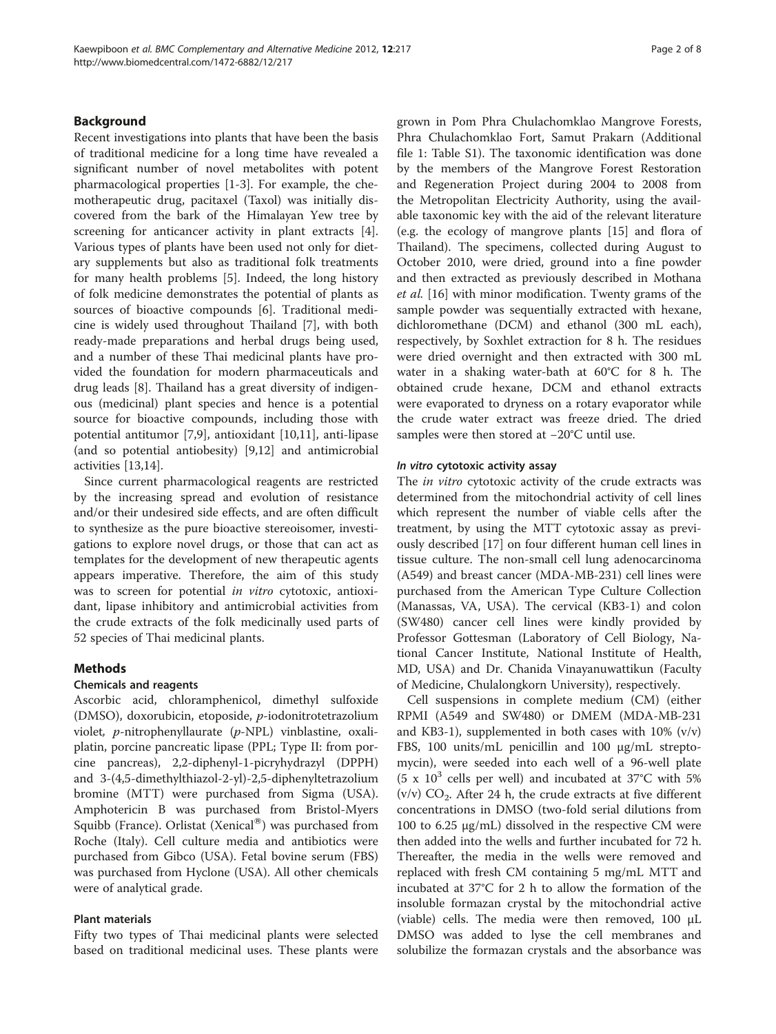# Background

Recent investigations into plants that have been the basis of traditional medicine for a long time have revealed a significant number of novel metabolites with potent pharmacological properties [[1-3](#page-6-0)]. For example, the chemotherapeutic drug, pacitaxel (Taxol) was initially discovered from the bark of the Himalayan Yew tree by screening for anticancer activity in plant extracts [\[4](#page-6-0)]. Various types of plants have been used not only for dietary supplements but also as traditional folk treatments for many health problems [\[5](#page-6-0)]. Indeed, the long history of folk medicine demonstrates the potential of plants as sources of bioactive compounds [\[6](#page-6-0)]. Traditional medicine is widely used throughout Thailand [\[7](#page-6-0)], with both ready-made preparations and herbal drugs being used, and a number of these Thai medicinal plants have provided the foundation for modern pharmaceuticals and drug leads [[8\]](#page-6-0). Thailand has a great diversity of indigenous (medicinal) plant species and hence is a potential source for bioactive compounds, including those with potential antitumor [[7,9\]](#page-6-0), antioxidant [[10,](#page-6-0)[11\]](#page-7-0), anti-lipase (and so potential antiobesity) [[9,](#page-6-0)[12\]](#page-7-0) and antimicrobial activities [\[13,14](#page-7-0)].

Since current pharmacological reagents are restricted by the increasing spread and evolution of resistance and/or their undesired side effects, and are often difficult to synthesize as the pure bioactive stereoisomer, investigations to explore novel drugs, or those that can act as templates for the development of new therapeutic agents appears imperative. Therefore, the aim of this study was to screen for potential in vitro cytotoxic, antioxidant, lipase inhibitory and antimicrobial activities from the crude extracts of the folk medicinally used parts of 52 species of Thai medicinal plants.

# Methods

#### Chemicals and reagents

Ascorbic acid, chloramphenicol, dimethyl sulfoxide (DMSO), doxorubicin, etoposide, p-iodonitrotetrazolium violet, p-nitrophenyllaurate (p-NPL) vinblastine, oxaliplatin, porcine pancreatic lipase (PPL; Type II: from porcine pancreas), 2,2-diphenyl-1-picryhydrazyl (DPPH) and 3-(4,5-dimethylthiazol-2-yl)-2,5-diphenyltetrazolium bromine (MTT) were purchased from Sigma (USA). Amphotericin B was purchased from Bristol-Myers Squibb (France). Orlistat (Xenical<sup>®</sup>) was purchased from Roche (Italy). Cell culture media and antibiotics were purchased from Gibco (USA). Fetal bovine serum (FBS) was purchased from Hyclone (USA). All other chemicals were of analytical grade.

### Plant materials

Fifty two types of Thai medicinal plants were selected based on traditional medicinal uses. These plants were

grown in Pom Phra Chulachomklao Mangrove Forests, Phra Chulachomklao Fort, Samut Prakarn (Additional file [1:](#page-6-0) Table S1). The taxonomic identification was done by the members of the Mangrove Forest Restoration and Regeneration Project during 2004 to 2008 from the Metropolitan Electricity Authority, using the available taxonomic key with the aid of the relevant literature (e.g. the ecology of mangrove plants [[15\]](#page-7-0) and flora of Thailand). The specimens, collected during August to October 2010, were dried, ground into a fine powder and then extracted as previously described in Mothana et al. [\[16](#page-7-0)] with minor modification. Twenty grams of the sample powder was sequentially extracted with hexane, dichloromethane (DCM) and ethanol (300 mL each), respectively, by Soxhlet extraction for 8 h. The residues were dried overnight and then extracted with 300 mL water in a shaking water-bath at 60°C for 8 h. The obtained crude hexane, DCM and ethanol extracts were evaporated to dryness on a rotary evaporator while the crude water extract was freeze dried. The dried samples were then stored at −20°C until use.

#### In vitro cytotoxic activity assay

The *in vitro* cytotoxic activity of the crude extracts was determined from the mitochondrial activity of cell lines which represent the number of viable cells after the treatment, by using the MTT cytotoxic assay as previously described [[17\]](#page-7-0) on four different human cell lines in tissue culture. The non-small cell lung adenocarcinoma (A549) and breast cancer (MDA-MB-231) cell lines were purchased from the American Type Culture Collection (Manassas, VA, USA). The cervical (KB3-1) and colon (SW480) cancer cell lines were kindly provided by Professor Gottesman (Laboratory of Cell Biology, National Cancer Institute, National Institute of Health, MD, USA) and Dr. Chanida Vinayanuwattikun (Faculty of Medicine, Chulalongkorn University), respectively.

Cell suspensions in complete medium (CM) (either RPMI (A549 and SW480) or DMEM (MDA-MB-231 and KB3-1), supplemented in both cases with  $10\%$  (v/v) FBS, 100 units/mL penicillin and 100 μg/mL streptomycin), were seeded into each well of a 96-well plate  $(5 \times 10^3 \text{ cells per well})$  and incubated at 37°C with 5%  $(v/v)$  CO<sub>2</sub>. After 24 h, the crude extracts at five different concentrations in DMSO (two-fold serial dilutions from 100 to 6.25 μg/mL) dissolved in the respective CM were then added into the wells and further incubated for 72 h. Thereafter, the media in the wells were removed and replaced with fresh CM containing 5 mg/mL MTT and incubated at 37°C for 2 h to allow the formation of the insoluble formazan crystal by the mitochondrial active (viable) cells. The media were then removed, 100 μL DMSO was added to lyse the cell membranes and solubilize the formazan crystals and the absorbance was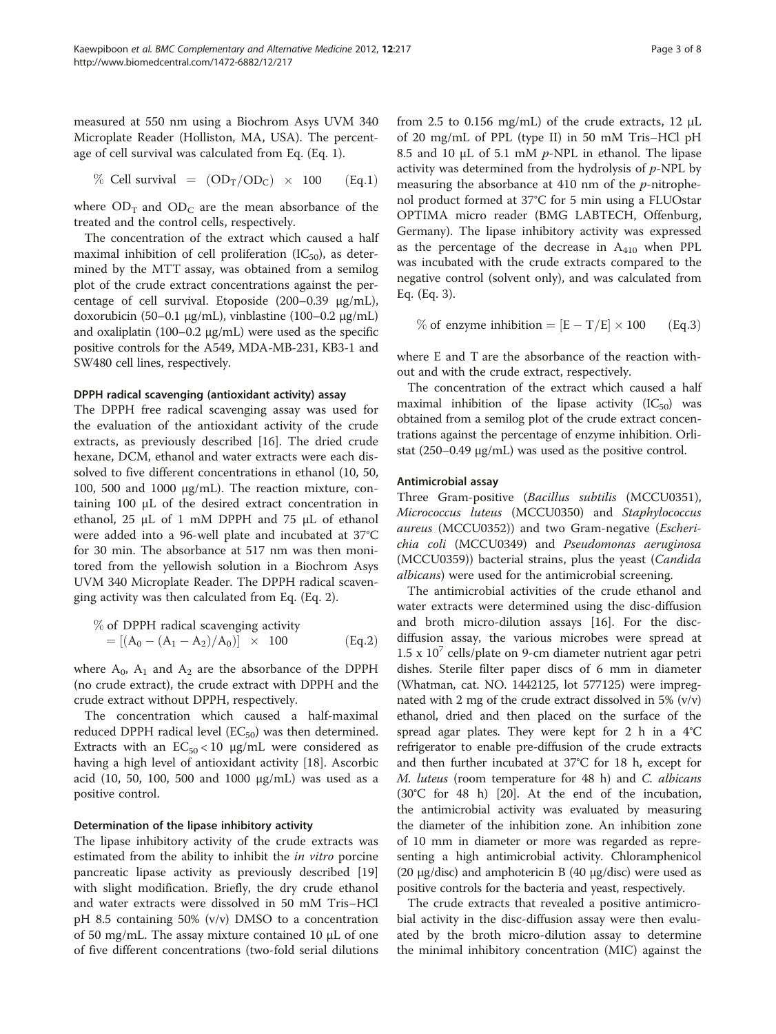measured at 550 nm using a Biochrom Asys UVM 340 Microplate Reader (Holliston, MA, USA). The percentage of cell survival was calculated from Eq. (Eq. 1).

% Cell survival = 
$$
(OD_T/OD_C) \times 100
$$
 (Eq.1)

where  $OD_T$  and  $OD_C$  are the mean absorbance of the treated and the control cells, respectively.

The concentration of the extract which caused a half maximal inhibition of cell proliferation  $(IC_{50})$ , as determined by the MTT assay, was obtained from a semilog plot of the crude extract concentrations against the percentage of cell survival. Etoposide (200–0.39 μg/mL), doxorubicin (50–0.1 μg/mL), vinblastine (100–0.2 μg/mL) and oxaliplatin (100–0.2 μg/mL) were used as the specific positive controls for the A549, MDA-MB-231, KB3-1 and SW480 cell lines, respectively.

#### DPPH radical scavenging (antioxidant activity) assay

The DPPH free radical scavenging assay was used for the evaluation of the antioxidant activity of the crude extracts, as previously described [\[16](#page-7-0)]. The dried crude hexane, DCM, ethanol and water extracts were each dissolved to five different concentrations in ethanol (10, 50, 100, 500 and 1000 μg/mL). The reaction mixture, containing 100 μL of the desired extract concentration in ethanol, 25 μL of 1 mM DPPH and 75 μL of ethanol were added into a 96-well plate and incubated at 37°C for 30 min. The absorbance at 517 nm was then monitored from the yellowish solution in a Biochrom Asys UVM 340 Microplate Reader. The DPPH radical scavenging activity was then calculated from Eq. (Eq. 2).

% of DPPH radical scavenging activity  
= 
$$
[(A_0 - (A_1 - A_2)/A_0)] \times 100
$$
 (Eq.2)

where  $A_0$ ,  $A_1$  and  $A_2$  are the absorbance of the DPPH (no crude extract), the crude extract with DPPH and the crude extract without DPPH, respectively.

The concentration which caused a half-maximal reduced DPPH radical level  $(EC_{50})$  was then determined. Extracts with an  $EC_{50}$  < 10  $\mu$ g/mL were considered as having a high level of antioxidant activity [[18\]](#page-7-0). Ascorbic acid (10, 50, 100, 500 and 1000 μg/mL) was used as a positive control.

### Determination of the lipase inhibitory activity

The lipase inhibitory activity of the crude extracts was estimated from the ability to inhibit the *in vitro* porcine pancreatic lipase activity as previously described [[19](#page-7-0)] with slight modification. Briefly, the dry crude ethanol and water extracts were dissolved in 50 mM Tris–HCl pH 8.5 containing 50% (v/v) DMSO to a concentration of 50 mg/mL. The assay mixture contained 10 μL of one of five different concentrations (two-fold serial dilutions from 2.5 to 0.156 mg/mL) of the crude extracts, 12  $\mu$ L of 20 mg/mL of PPL (type II) in 50 mM Tris–HCl pH 8.5 and 10 μL of 5.1 mM  $p$ -NPL in ethanol. The lipase activity was determined from the hydrolysis of  $p$ -NPL by measuring the absorbance at 410 nm of the  $p$ -nitrophenol product formed at 37°C for 5 min using a FLUOstar OPTIMA micro reader (BMG LABTECH, Offenburg, Germany). The lipase inhibitory activity was expressed as the percentage of the decrease in  $A_{410}$  when PPL was incubated with the crude extracts compared to the negative control (solvent only), and was calculated from Eq. (Eq. 3).

% of enzyme inhibition =  $[E - T/E] \times 100$  (Eq.3)

where E and T are the absorbance of the reaction without and with the crude extract, respectively.

The concentration of the extract which caused a half maximal inhibition of the lipase activity  $(IC_{50})$  was obtained from a semilog plot of the crude extract concentrations against the percentage of enzyme inhibition. Orlistat (250–0.49 μg/mL) was used as the positive control.

#### Antimicrobial assay

Three Gram-positive (Bacillus subtilis (MCCU0351), Micrococcus luteus (MCCU0350) and Staphylococcus aureus (MCCU0352)) and two Gram-negative (Escherichia coli (MCCU0349) and Pseudomonas aeruginosa (MCCU0359)) bacterial strains, plus the yeast (Candida albicans) were used for the antimicrobial screening.

The antimicrobial activities of the crude ethanol and water extracts were determined using the disc-diffusion and broth micro-dilution assays [[16\]](#page-7-0). For the discdiffusion assay, the various microbes were spread at 1.5 x  $10^7$  cells/plate on 9-cm diameter nutrient agar petri dishes. Sterile filter paper discs of 6 mm in diameter (Whatman, cat. NO. 1442125, lot 577125) were impregnated with 2 mg of the crude extract dissolved in 5% (v/v) ethanol, dried and then placed on the surface of the spread agar plates. They were kept for 2 h in a 4°C refrigerator to enable pre-diffusion of the crude extracts and then further incubated at 37°C for 18 h, except for M. luteus (room temperature for 48 h) and C. albicans (30°C for 48 h) [\[20\]](#page-7-0). At the end of the incubation, the antimicrobial activity was evaluated by measuring the diameter of the inhibition zone. An inhibition zone of 10 mm in diameter or more was regarded as representing a high antimicrobial activity. Chloramphenicol (20 μg/disc) and amphotericin B (40 μg/disc) were used as positive controls for the bacteria and yeast, respectively.

The crude extracts that revealed a positive antimicrobial activity in the disc-diffusion assay were then evaluated by the broth micro-dilution assay to determine the minimal inhibitory concentration (MIC) against the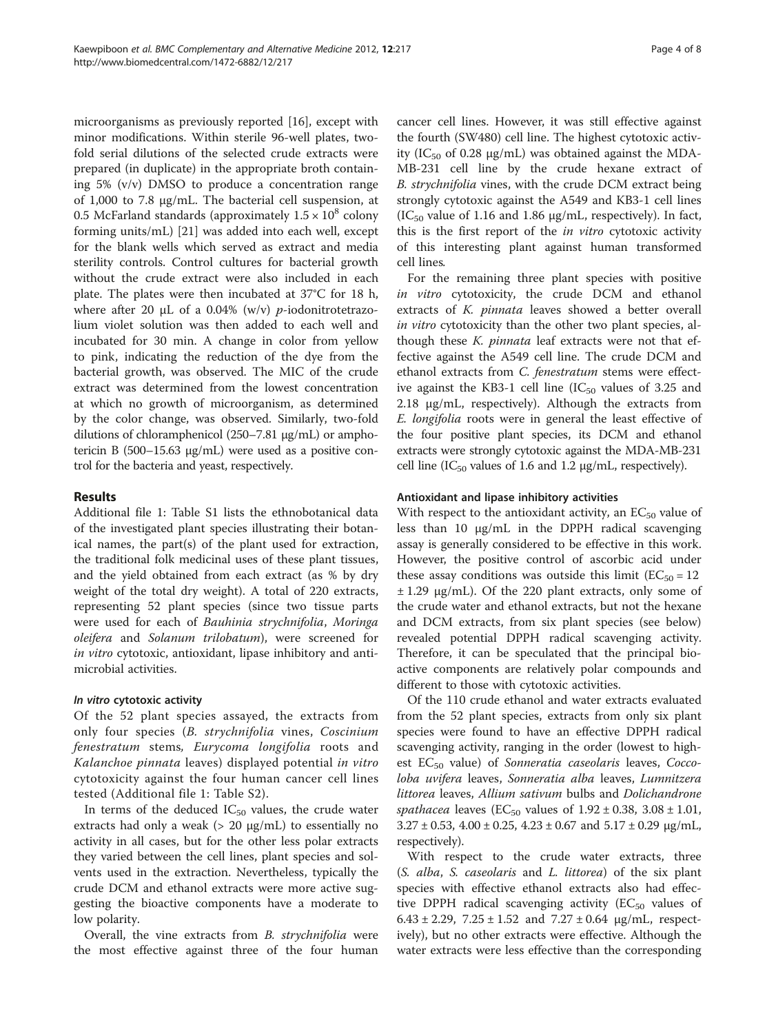microorganisms as previously reported [\[16](#page-7-0)], except with minor modifications. Within sterile 96-well plates, twofold serial dilutions of the selected crude extracts were prepared (in duplicate) in the appropriate broth containing 5% (v/v) DMSO to produce a concentration range of 1,000 to 7.8 μg/mL. The bacterial cell suspension, at 0.5 McFarland standards (approximately  $1.5 \times 10^8$  colony forming units/mL) [[21](#page-7-0)] was added into each well, except for the blank wells which served as extract and media sterility controls. Control cultures for bacterial growth without the crude extract were also included in each plate. The plates were then incubated at 37°C for 18 h, where after 20  $\mu$ L of a 0.04% (w/v) p-iodonitrotetrazolium violet solution was then added to each well and incubated for 30 min. A change in color from yellow to pink, indicating the reduction of the dye from the bacterial growth, was observed. The MIC of the crude extract was determined from the lowest concentration at which no growth of microorganism, as determined by the color change, was observed. Similarly, two-fold dilutions of chloramphenicol (250–7.81 μg/mL) or amphotericin B (500–15.63 μg/mL) were used as a positive control for the bacteria and yeast, respectively.

# Results

Additional file [1](#page-6-0): Table S1 lists the ethnobotanical data of the investigated plant species illustrating their botanical names, the part(s) of the plant used for extraction, the traditional folk medicinal uses of these plant tissues, and the yield obtained from each extract (as % by dry weight of the total dry weight). A total of 220 extracts, representing 52 plant species (since two tissue parts were used for each of Bauhinia strychnifolia, Moringa oleifera and Solanum trilobatum), were screened for in vitro cytotoxic, antioxidant, lipase inhibitory and antimicrobial activities.

# In vitro cytotoxic activity

Of the 52 plant species assayed, the extracts from only four species (B. strychnifolia vines, Coscinium fenestratum stems, Eurycoma longifolia roots and Kalanchoe pinnata leaves) displayed potential in vitro cytotoxicity against the four human cancer cell lines tested (Additional file [1:](#page-6-0) Table S2).

In terms of the deduced  $IC_{50}$  values, the crude water extracts had only a weak  $(> 20 \mu g/mL)$  to essentially no activity in all cases, but for the other less polar extracts they varied between the cell lines, plant species and solvents used in the extraction. Nevertheless, typically the crude DCM and ethanol extracts were more active suggesting the bioactive components have a moderate to low polarity.

Overall, the vine extracts from B. strychnifolia were the most effective against three of the four human

cancer cell lines. However, it was still effective against the fourth (SW480) cell line. The highest cytotoxic activity (IC<sub>50</sub> of 0.28 μg/mL) was obtained against the MDA-MB-231 cell line by the crude hexane extract of B. strychnifolia vines, with the crude DCM extract being strongly cytotoxic against the A549 and KB3-1 cell lines  $(IC_{50}$  value of 1.16 and 1.86  $\mu$ g/mL, respectively). In fact, this is the first report of the *in vitro* cytotoxic activity of this interesting plant against human transformed cell lines.

For the remaining three plant species with positive in vitro cytotoxicity, the crude DCM and ethanol extracts of K. *pinnata* leaves showed a better overall in vitro cytotoxicity than the other two plant species, although these  $K$ , *pinnata* leaf extracts were not that effective against the A549 cell line. The crude DCM and ethanol extracts from C. fenestratum stems were effective against the KB3-1 cell line  $(IC_{50}$  values of 3.25 and 2.18 μg/mL, respectively). Although the extracts from E. longifolia roots were in general the least effective of the four positive plant species, its DCM and ethanol extracts were strongly cytotoxic against the MDA-MB-231 cell line (IC<sub>50</sub> values of 1.6 and 1.2  $\mu$ g/mL, respectively).

# Antioxidant and lipase inhibitory activities

With respect to the antioxidant activity, an  $EC_{50}$  value of less than 10 μg/mL in the DPPH radical scavenging assay is generally considered to be effective in this work. However, the positive control of ascorbic acid under these assay conditions was outside this limit  $(EC_{50} = 12)$  $\pm$  1.29 μg/mL). Of the 220 plant extracts, only some of the crude water and ethanol extracts, but not the hexane and DCM extracts, from six plant species (see below) revealed potential DPPH radical scavenging activity. Therefore, it can be speculated that the principal bioactive components are relatively polar compounds and different to those with cytotoxic activities.

Of the 110 crude ethanol and water extracts evaluated from the 52 plant species, extracts from only six plant species were found to have an effective DPPH radical scavenging activity, ranging in the order (lowest to highest  $EC_{50}$  value) of Sonneratia caseolaris leaves, Coccoloba uvifera leaves, Sonneratia alba leaves, Lumnitzera littorea leaves, Allium sativum bulbs and Dolichandrone spathacea leaves (EC<sub>50</sub> values of  $1.92 \pm 0.38$ ,  $3.08 \pm 1.01$ ,  $3.27 \pm 0.53$ ,  $4.00 \pm 0.25$ ,  $4.23 \pm 0.67$  and  $5.17 \pm 0.29$  µg/mL, respectively).

With respect to the crude water extracts, three (S. alba, S. caseolaris and L. littorea) of the six plant species with effective ethanol extracts also had effective DPPH radical scavenging activity ( $EC_{50}$  values of  $6.43 \pm 2.29$ ,  $7.25 \pm 1.52$  and  $7.27 \pm 0.64$  µg/mL, respectively), but no other extracts were effective. Although the water extracts were less effective than the corresponding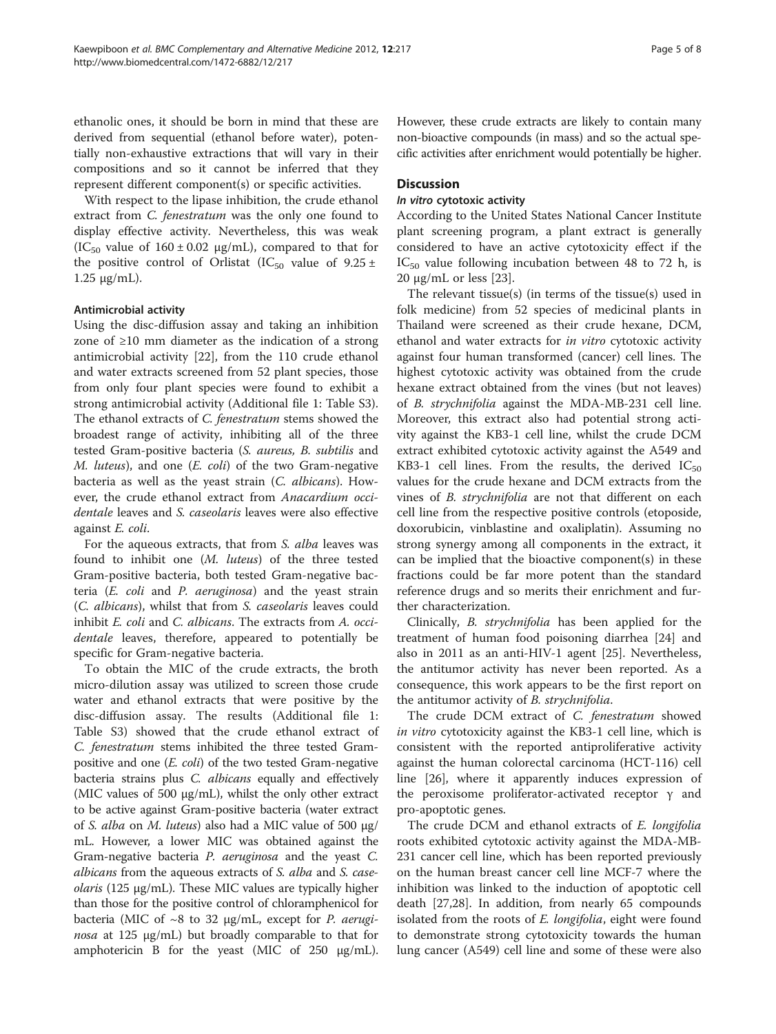ethanolic ones, it should be born in mind that these are derived from sequential (ethanol before water), potentially non-exhaustive extractions that will vary in their compositions and so it cannot be inferred that they represent different component(s) or specific activities.

With respect to the lipase inhibition, the crude ethanol extract from C. fenestratum was the only one found to display effective activity. Nevertheless, this was weak (IC<sub>50</sub> value of  $160 \pm 0.02$  µg/mL), compared to that for the positive control of Orlistat (IC<sub>50</sub> value of  $9.25 \pm$ 1.25 μg/mL).

# Antimicrobial activity

Using the disc-diffusion assay and taking an inhibition zone of ≥10 mm diameter as the indication of a strong antimicrobial activity [\[22\]](#page-7-0), from the 110 crude ethanol and water extracts screened from 52 plant species, those from only four plant species were found to exhibit a strong antimicrobial activity (Additional file [1:](#page-6-0) Table S3). The ethanol extracts of C. fenestratum stems showed the broadest range of activity, inhibiting all of the three tested Gram-positive bacteria (S. aureus, B. subtilis and M. luteus), and one (E. coli) of the two Gram-negative bacteria as well as the yeast strain (C. albicans). However, the crude ethanol extract from Anacardium occidentale leaves and S. caseolaris leaves were also effective against E. coli.

For the aqueous extracts, that from S. alba leaves was found to inhibit one (M. luteus) of the three tested Gram-positive bacteria, both tested Gram-negative bacteria (E. coli and P. aeruginosa) and the yeast strain (C. albicans), whilst that from S. caseolaris leaves could inhibit E. coli and C. albicans. The extracts from A. occidentale leaves, therefore, appeared to potentially be specific for Gram-negative bacteria.

To obtain the MIC of the crude extracts, the broth micro-dilution assay was utilized to screen those crude water and ethanol extracts that were positive by the disc-diffusion assay. The results (Additional file [1](#page-6-0): Table S3) showed that the crude ethanol extract of C. fenestratum stems inhibited the three tested Grampositive and one  $(E. \; coli)$  of the two tested Gram-negative bacteria strains plus C. albicans equally and effectively (MIC values of 500 μg/mL), whilst the only other extract to be active against Gram-positive bacteria (water extract of S. alba on M. luteus) also had a MIC value of 500 μg/ mL. However, a lower MIC was obtained against the Gram-negative bacteria P. aeruginosa and the yeast C. albicans from the aqueous extracts of S. alba and S. caseolaris (125 μg/mL). These MIC values are typically higher than those for the positive control of chloramphenicol for bacteria (MIC of  $\sim$ 8 to 32 μg/mL, except for *P. aerugi*nosa at 125 μg/mL) but broadly comparable to that for amphotericin B for the yeast (MIC of 250 μg/mL). However, these crude extracts are likely to contain many non-bioactive compounds (in mass) and so the actual specific activities after enrichment would potentially be higher.

# **Discussion**

# In vitro cytotoxic activity

According to the United States National Cancer Institute plant screening program, a plant extract is generally considered to have an active cytotoxicity effect if the IC<sub>50</sub> value following incubation between 48 to 72 h, is 20 μg/mL or less  $[23]$ .

The relevant tissue(s) (in terms of the tissue(s) used in folk medicine) from 52 species of medicinal plants in Thailand were screened as their crude hexane, DCM, ethanol and water extracts for *in vitro* cytotoxic activity against four human transformed (cancer) cell lines. The highest cytotoxic activity was obtained from the crude hexane extract obtained from the vines (but not leaves) of B. strychnifolia against the MDA-MB-231 cell line. Moreover, this extract also had potential strong activity against the KB3-1 cell line, whilst the crude DCM extract exhibited cytotoxic activity against the A549 and KB3-1 cell lines. From the results, the derived  $IC_{50}$ values for the crude hexane and DCM extracts from the vines of B. strychnifolia are not that different on each cell line from the respective positive controls (etoposide, doxorubicin, vinblastine and oxaliplatin). Assuming no strong synergy among all components in the extract, it can be implied that the bioactive component(s) in these fractions could be far more potent than the standard reference drugs and so merits their enrichment and further characterization.

Clinically, B. strychnifolia has been applied for the treatment of human food poisoning diarrhea [[24\]](#page-7-0) and also in 2011 as an anti-HIV-1 agent [\[25\]](#page-7-0). Nevertheless, the antitumor activity has never been reported. As a consequence, this work appears to be the first report on the antitumor activity of B. strychnifolia.

The crude DCM extract of C. fenestratum showed in vitro cytotoxicity against the KB3-1 cell line, which is consistent with the reported antiproliferative activity against the human colorectal carcinoma (HCT-116) cell line [\[26](#page-7-0)], where it apparently induces expression of the peroxisome proliferator-activated receptor γ and pro-apoptotic genes.

The crude DCM and ethanol extracts of *E. longifolia* roots exhibited cytotoxic activity against the MDA-MB-231 cancer cell line, which has been reported previously on the human breast cancer cell line MCF-7 where the inhibition was linked to the induction of apoptotic cell death [\[27,28](#page-7-0)]. In addition, from nearly 65 compounds isolated from the roots of *E. longifolia*, eight were found to demonstrate strong cytotoxicity towards the human lung cancer (A549) cell line and some of these were also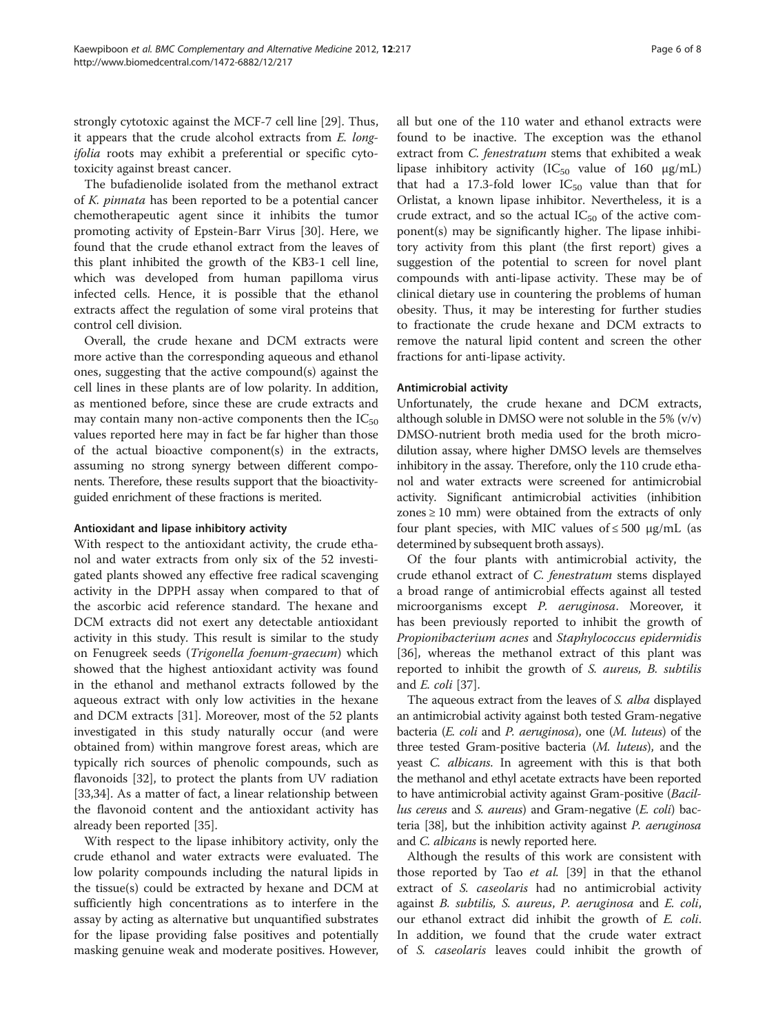strongly cytotoxic against the MCF-7 cell line [\[29](#page-7-0)]. Thus, it appears that the crude alcohol extracts from E. longifolia roots may exhibit a preferential or specific cytotoxicity against breast cancer.

The bufadienolide isolated from the methanol extract of K. pinnata has been reported to be a potential cancer chemotherapeutic agent since it inhibits the tumor promoting activity of Epstein-Barr Virus [[30\]](#page-7-0). Here, we found that the crude ethanol extract from the leaves of this plant inhibited the growth of the KB3-1 cell line, which was developed from human papilloma virus infected cells. Hence, it is possible that the ethanol extracts affect the regulation of some viral proteins that control cell division.

Overall, the crude hexane and DCM extracts were more active than the corresponding aqueous and ethanol ones, suggesting that the active compound(s) against the cell lines in these plants are of low polarity. In addition, as mentioned before, since these are crude extracts and may contain many non-active components then the  $IC_{50}$ values reported here may in fact be far higher than those of the actual bioactive component(s) in the extracts, assuming no strong synergy between different components. Therefore, these results support that the bioactivityguided enrichment of these fractions is merited.

# Antioxidant and lipase inhibitory activity

With respect to the antioxidant activity, the crude ethanol and water extracts from only six of the 52 investigated plants showed any effective free radical scavenging activity in the DPPH assay when compared to that of the ascorbic acid reference standard. The hexane and DCM extracts did not exert any detectable antioxidant activity in this study. This result is similar to the study on Fenugreek seeds (Trigonella foenum-graecum) which showed that the highest antioxidant activity was found in the ethanol and methanol extracts followed by the aqueous extract with only low activities in the hexane and DCM extracts [\[31](#page-7-0)]. Moreover, most of the 52 plants investigated in this study naturally occur (and were obtained from) within mangrove forest areas, which are typically rich sources of phenolic compounds, such as flavonoids [[32\]](#page-7-0), to protect the plants from UV radiation [[33,34\]](#page-7-0). As a matter of fact, a linear relationship between the flavonoid content and the antioxidant activity has already been reported [[35\]](#page-7-0).

With respect to the lipase inhibitory activity, only the crude ethanol and water extracts were evaluated. The low polarity compounds including the natural lipids in the tissue(s) could be extracted by hexane and DCM at sufficiently high concentrations as to interfere in the assay by acting as alternative but unquantified substrates for the lipase providing false positives and potentially masking genuine weak and moderate positives. However,

all but one of the 110 water and ethanol extracts were found to be inactive. The exception was the ethanol extract from C. fenestratum stems that exhibited a weak lipase inhibitory activity (IC $_{50}$  value of 160  $\mu$ g/mL) that had a 17.3-fold lower  $IC_{50}$  value than that for Orlistat, a known lipase inhibitor. Nevertheless, it is a crude extract, and so the actual  $IC_{50}$  of the active component(s) may be significantly higher. The lipase inhibitory activity from this plant (the first report) gives a suggestion of the potential to screen for novel plant compounds with anti-lipase activity. These may be of clinical dietary use in countering the problems of human obesity. Thus, it may be interesting for further studies to fractionate the crude hexane and DCM extracts to remove the natural lipid content and screen the other fractions for anti-lipase activity.

#### Antimicrobial activity

Unfortunately, the crude hexane and DCM extracts, although soluble in DMSO were not soluble in the 5%  $(v/v)$ DMSO-nutrient broth media used for the broth microdilution assay, where higher DMSO levels are themselves inhibitory in the assay. Therefore, only the 110 crude ethanol and water extracts were screened for antimicrobial activity. Significant antimicrobial activities (inhibition zones  $\geq 10$  mm) were obtained from the extracts of only four plant species, with MIC values of  $\leq 500$  µg/mL (as determined by subsequent broth assays).

Of the four plants with antimicrobial activity, the crude ethanol extract of C. fenestratum stems displayed a broad range of antimicrobial effects against all tested microorganisms except P. aeruginosa. Moreover, it has been previously reported to inhibit the growth of Propionibacterium acnes and Staphylococcus epidermidis [[36\]](#page-7-0), whereas the methanol extract of this plant was reported to inhibit the growth of S. aureus, B. subtilis and E. coli [[37](#page-7-0)].

The aqueous extract from the leaves of S. alba displayed an antimicrobial activity against both tested Gram-negative bacteria  $(E. \text{ coli}$  and  $P. \text{ aeruginosa}$ , one  $(M. \text{ luteus})$  of the three tested Gram-positive bacteria (M. luteus), and the yeast *C. albicans*. In agreement with this is that both the methanol and ethyl acetate extracts have been reported to have antimicrobial activity against Gram-positive (*Bacil*lus cereus and S. aureus) and Gram-negative (E. coli) bac-teria [\[38](#page-7-0)], but the inhibition activity against *P. aeruginosa* and *C. albicans* is newly reported here.

Although the results of this work are consistent with those reported by Tao et al. [[39](#page-7-0)] in that the ethanol extract of *S. caseolaris* had no antimicrobial activity against B. subtilis, S. aureus, P. aeruginosa and E. coli, our ethanol extract did inhibit the growth of E. coli. In addition, we found that the crude water extract of S. caseolaris leaves could inhibit the growth of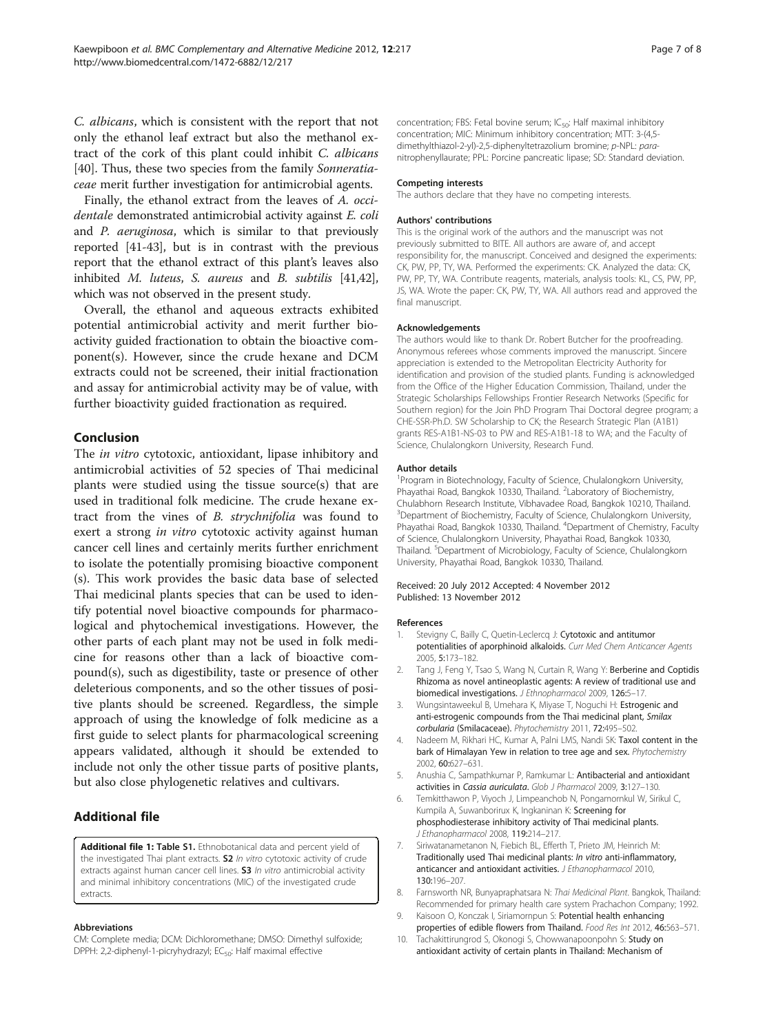<span id="page-6-0"></span>Finally, the ethanol extract from the leaves of A. occidentale demonstrated antimicrobial activity against E. coli and P. aeruginosa, which is similar to that previously reported [\[41](#page-7-0)-[43](#page-7-0)], but is in contrast with the previous report that the ethanol extract of this plant's leaves also inhibited M. luteus, S. aureus and B. subtilis [\[41,42](#page-7-0)], which was not observed in the present study.

Overall, the ethanol and aqueous extracts exhibited potential antimicrobial activity and merit further bioactivity guided fractionation to obtain the bioactive component(s). However, since the crude hexane and DCM extracts could not be screened, their initial fractionation and assay for antimicrobial activity may be of value, with further bioactivity guided fractionation as required.

# Conclusion

The in vitro cytotoxic, antioxidant, lipase inhibitory and antimicrobial activities of 52 species of Thai medicinal plants were studied using the tissue source(s) that are used in traditional folk medicine. The crude hexane extract from the vines of B. strychnifolia was found to exert a strong in vitro cytotoxic activity against human cancer cell lines and certainly merits further enrichment to isolate the potentially promising bioactive component (s). This work provides the basic data base of selected Thai medicinal plants species that can be used to identify potential novel bioactive compounds for pharmacological and phytochemical investigations. However, the other parts of each plant may not be used in folk medicine for reasons other than a lack of bioactive compound(s), such as digestibility, taste or presence of other deleterious components, and so the other tissues of positive plants should be screened. Regardless, the simple approach of using the knowledge of folk medicine as a first guide to select plants for pharmacological screening appears validated, although it should be extended to include not only the other tissue parts of positive plants, but also close phylogenetic relatives and cultivars.

# Additional file

[Additional file 1:](http://www.biomedcentral.com/content/supplementary/1472-6882-12-217-S1.doc) Table S1. Ethnobotanical data and percent yield of the investigated Thai plant extracts. **S2** In vitro cytotoxic activity of crude extracts against human cancer cell lines. **S3** In vitro antimicrobial activity and minimal inhibitory concentrations (MIC) of the investigated crude extracts.

#### Abbreviations

CM: Complete media; DCM: Dichloromethane; DMSO: Dimethyl sulfoxide; DPPH: 2,2-diphenyl-1-picryhydrazyl; EC<sub>50</sub>: Half maximal effective

concentration; FBS: Fetal bovine serum; IC<sub>50</sub>: Half maximal inhibitory concentration; MIC: Minimum inhibitory concentration; MTT: 3-(4,5 dimethylthiazol-2-yl)-2,5-diphenyltetrazolium bromine; p-NPL: paranitrophenyllaurate; PPL: Porcine pancreatic lipase; SD: Standard deviation.

#### Competing interests

The authors declare that they have no competing interests.

#### Authors' contributions

This is the original work of the authors and the manuscript was not previously submitted to BITE. All authors are aware of, and accept responsibility for, the manuscript. Conceived and designed the experiments: CK, PW, PP, TY, WA. Performed the experiments: CK. Analyzed the data: CK, PW, PP, TY, WA. Contribute reagents, materials, analysis tools: KL, CS, PW, PP, JS, WA. Wrote the paper: CK, PW, TY, WA. All authors read and approved the final manuscript.

#### Acknowledgements

The authors would like to thank Dr. Robert Butcher for the proofreading. Anonymous referees whose comments improved the manuscript. Sincere appreciation is extended to the Metropolitan Electricity Authority for identification and provision of the studied plants. Funding is acknowledged from the Office of the Higher Education Commission, Thailand, under the Strategic Scholarships Fellowships Frontier Research Networks (Specific for Southern region) for the Join PhD Program Thai Doctoral degree program; a CHE-SSR-Ph.D. SW Scholarship to CK; the Research Strategic Plan (A1B1) grants RES-A1B1-NS-03 to PW and RES-A1B1-18 to WA; and the Faculty of Science, Chulalongkorn University, Research Fund.

#### Author details

<sup>1</sup> Program in Biotechnology, Faculty of Science, Chulalongkorn University, Phayathai Road, Bangkok 10330, Thailand. <sup>2</sup>Laboratory of Biochemistry, Chulabhorn Research Institute, Vibhavadee Road, Bangkok 10210, Thailand. <sup>3</sup>Department of Biochemistry, Faculty of Science, Chulalongkorn University, Phayathai Road, Bangkok 10330, Thailand. <sup>4</sup>Department of Chemistry, Faculty of Science, Chulalongkorn University, Phayathai Road, Bangkok 10330, Thailand. <sup>5</sup>Department of Microbiology, Faculty of Science, Chulalongkorn University, Phayathai Road, Bangkok 10330, Thailand.

#### Received: 20 July 2012 Accepted: 4 November 2012 Published: 13 November 2012

#### References

- 1. Stevigny C, Bailly C, Quetin-Leclercq J: Cytotoxic and antitumor potentialities of aporphinoid alkaloids. Curr Med Chem Anticancer Agents 2005, 5:173–182.
- 2. Tang J, Feng Y, Tsao S, Wang N, Curtain R, Wang Y: Berberine and Coptidis Rhizoma as novel antineoplastic agents: A review of traditional use and biomedical investigations. *J Ethnopharmacol* 2009, 126:5-17.
- 3. Wungsintaweekul B, Umehara K, Miyase T, Noguchi H: Estrogenic and anti-estrogenic compounds from the Thai medicinal plant, Smilax corbularia (Smilacaceae). Phytochemistry 2011, 72:495–502.
- 4. Nadeem M, Rikhari HC, Kumar A, Palni LMS, Nandi SK: Taxol content in the bark of Himalayan Yew in relation to tree age and sex. Phytochemistry 2002, 60:627–631.
- 5. Anushia C, Sampathkumar P, Ramkumar L: Antibacterial and antioxidant activities in Cassia auriculata. Glob J Pharmacol 2009, 3:127–130.
- 6. Temkitthawon P, Viyoch J, Limpeanchob N, Pongamornkul W, Sirikul C, Kumpila A, Suwanborirux K, Ingkaninan K: Screening for phosphodiesterase inhibitory activity of Thai medicinal plants. J Ethanopharmacol 2008, 119:214–217.
- 7. Siriwatanametanon N, Fiebich BL, Efferth T, Prieto JM, Heinrich M: Traditionally used Thai medicinal plants: In vitro anti-inflammatory, anticancer and antioxidant activities. J Ethanopharmacol 2010, 130:196–207.
- 8. Farnsworth NR, Bunyapraphatsara N: Thai Medicinal Plant. Bangkok, Thailand: Recommended for primary health care system Prachachon Company; 1992.
- 9. Kaisoon O, Konczak I, Siriamornpun S: Potential health enhancing properties of edible flowers from Thailand. Food Res Int 2012, 46:563-571.
- 10. Tachakittirungrod S, Okonogi S, Chowwanapoonpohn S: Study on antioxidant activity of certain plants in Thailand: Mechanism of